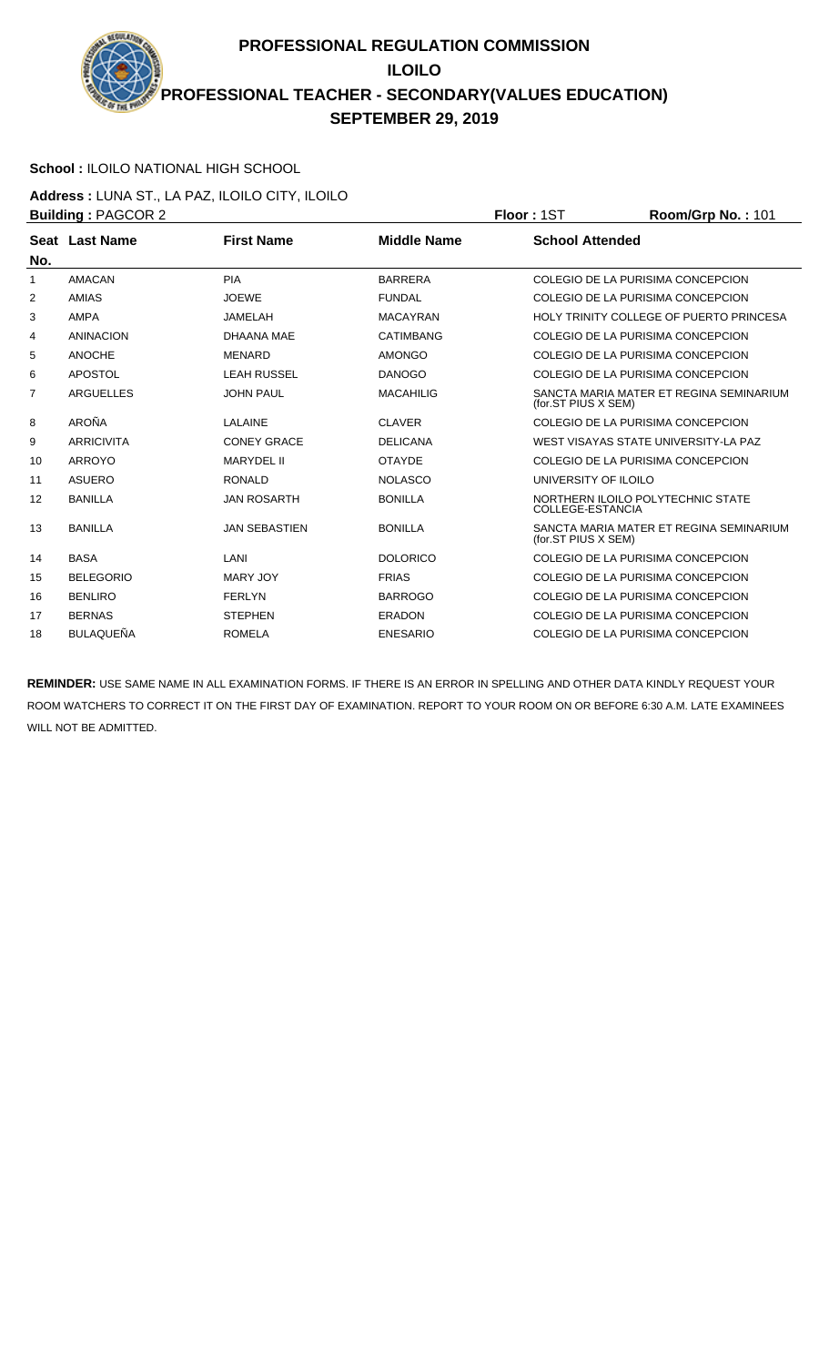**PROFESSIONAL REGULATION COMMISSION ILOILO PROFESSIONAL TEACHER - SECONDARY(VALUES EDUCATION) SEPTEMBER 29, 2019**

## **School :** ILOILO NATIONAL HIGH SCHOOL

**Address :** LUNA ST., LA PAZ, ILOILO CITY, ILOILO **Building :** PAGCOR 2 **Floor :** 1ST **Room/Grp No. :** 101

|                |                   |                      |                  | .                                                              |
|----------------|-------------------|----------------------|------------------|----------------------------------------------------------------|
| No.            | Seat Last Name    | <b>First Name</b>    | Middle Name      | <b>School Attended</b>                                         |
| 1              | <b>AMACAN</b>     | <b>PIA</b>           | <b>BARRERA</b>   | COLEGIO DE LA PURISIMA CONCEPCION                              |
| 2              | AMIAS             | <b>JOEWE</b>         | <b>FUNDAL</b>    | COLEGIO DE LA PURISIMA CONCEPCION                              |
| 3              | <b>AMPA</b>       | <b>JAMELAH</b>       | <b>MACAYRAN</b>  | HOLY TRINITY COLLEGE OF PUERTO PRINCESA                        |
| 4              | <b>ANINACION</b>  | DHAANA MAE           | <b>CATIMBANG</b> | COLEGIO DE LA PURISIMA CONCEPCION                              |
| 5              | <b>ANOCHE</b>     | <b>MENARD</b>        | <b>AMONGO</b>    | COLEGIO DE LA PURISIMA CONCEPCION                              |
| 6              | APOSTOL           | <b>LEAH RUSSEL</b>   | <b>DANOGO</b>    | COLEGIO DE LA PURISIMA CONCEPCION                              |
| $\overline{7}$ | <b>ARGUELLES</b>  | <b>JOHN PAUL</b>     | <b>MACAHILIG</b> | SANCTA MARIA MATER ET REGINA SEMINARIUM<br>(for.ST PIUS X SEM) |
| 8              | AROÑA             | LALAINE              | <b>CLAVER</b>    | COLEGIO DE LA PURISIMA CONCEPCION                              |
| 9              | <b>ARRICIVITA</b> | <b>CONEY GRACE</b>   | <b>DELICANA</b>  | WEST VISAYAS STATE UNIVERSITY-LA PAZ                           |
| 10             | ARROYO            | <b>MARYDEL II</b>    | <b>OTAYDE</b>    | COLEGIO DE LA PURISIMA CONCEPCION                              |
| 11             | <b>ASUERO</b>     | <b>RONALD</b>        | <b>NOLASCO</b>   | UNIVERSITY OF ILOILO                                           |
| 12             | <b>BANILLA</b>    | <b>JAN ROSARTH</b>   | <b>BONILLA</b>   | NORTHERN ILOILO POLYTECHNIC STATE<br>COLLEGE-ESTANCIA          |
| 13             | <b>BANILLA</b>    | <b>JAN SEBASTIEN</b> | <b>BONILLA</b>   | SANCTA MARIA MATER ET REGINA SEMINARIUM<br>(for.ST PIUS X SEM) |
| 14             | <b>BASA</b>       | LANI                 | <b>DOLORICO</b>  | COLEGIO DE LA PURISIMA CONCEPCION                              |
| 15             | <b>BELEGORIO</b>  | <b>MARY JOY</b>      | <b>FRIAS</b>     | COLEGIO DE LA PURISIMA CONCEPCION                              |
| 16             | <b>BENLIRO</b>    | <b>FERLYN</b>        | <b>BARROGO</b>   | COLEGIO DE LA PURISIMA CONCEPCION                              |
| 17             | <b>BERNAS</b>     | <b>STEPHEN</b>       | ERADON           | COLEGIO DE LA PURISIMA CONCEPCION                              |
| 18             | BULAQUEÑA         | <b>ROMELA</b>        | <b>ENESARIO</b>  | COLEGIO DE LA PURISIMA CONCEPCION                              |

**REMINDER:** USE SAME NAME IN ALL EXAMINATION FORMS. IF THERE IS AN ERROR IN SPELLING AND OTHER DATA KINDLY REQUEST YOUR ROOM WATCHERS TO CORRECT IT ON THE FIRST DAY OF EXAMINATION. REPORT TO YOUR ROOM ON OR BEFORE 6:30 A.M. LATE EXAMINEES WILL NOT BE ADMITTED.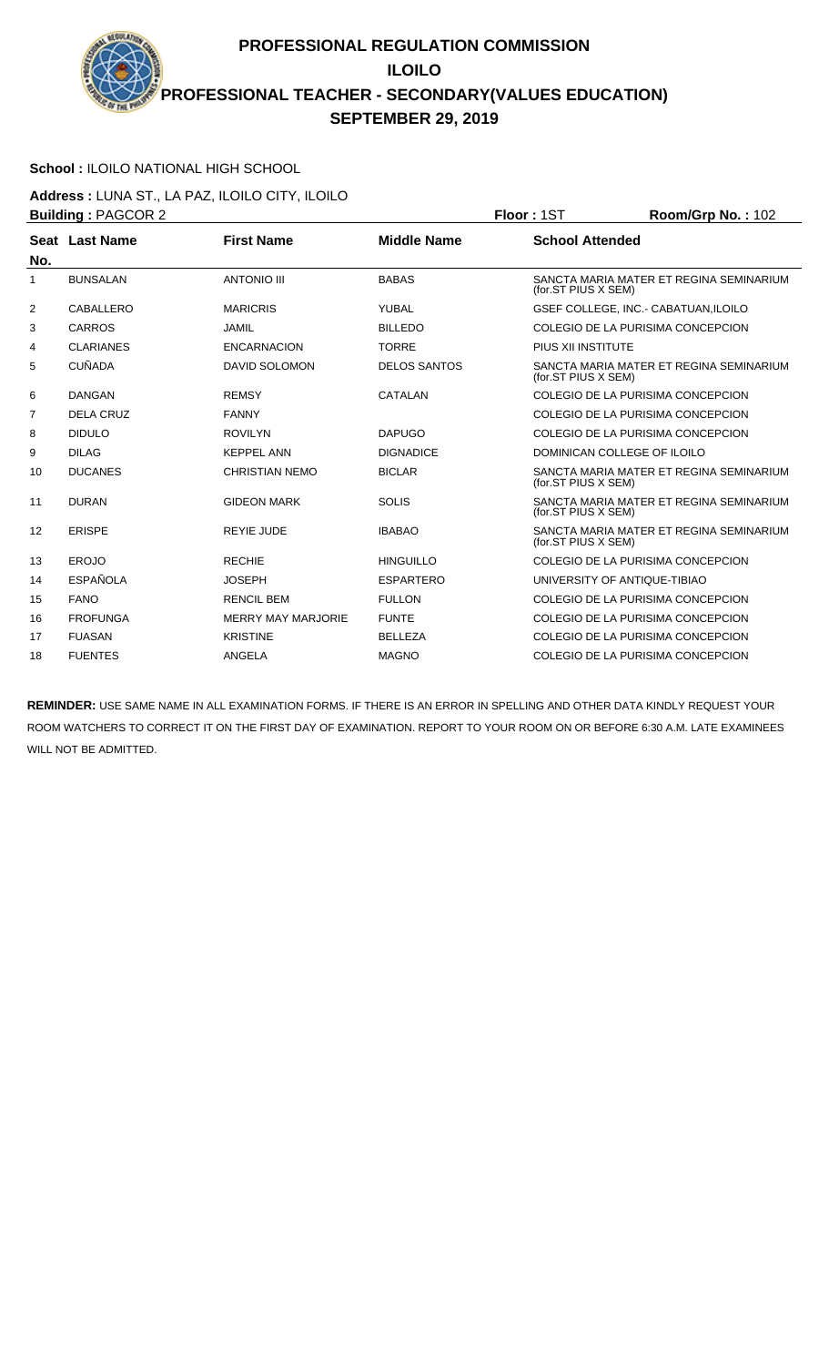**PROFESSIONAL REGULATION COMMISSION ILOILO PROFESSIONAL TEACHER - SECONDARY(VALUES EDUCATION) SEPTEMBER 29, 2019**

## **School :** ILOILO NATIONAL HIGH SCHOOL

**Address :** LUNA ST., LA PAZ, ILOILO CITY, ILOILO **Building :** PAGCOR 2 **Floor :** 1ST **Room/Grp No. :** 102

|     | <b>DUIIUIIIY.</b> FAUUUN 4 |                           |                     | <b>FIUUI - IJI</b><br><b>NUUIIIUI U INU.</b> . IUZ             |  |
|-----|----------------------------|---------------------------|---------------------|----------------------------------------------------------------|--|
| No. | Seat Last Name             | <b>First Name</b>         | <b>Middle Name</b>  | <b>School Attended</b>                                         |  |
| 1   | <b>BUNSALAN</b>            | <b>ANTONIO III</b>        | <b>BABAS</b>        | SANCTA MARIA MATER ET REGINA SEMINARIUM<br>(for.ST PIUS X SEM) |  |
| 2   | CABALLERO                  | <b>MARICRIS</b>           | YUBAL               | GSEF COLLEGE, INC.- CABATUAN, ILOILO                           |  |
| 3   | <b>CARROS</b>              | <b>JAMIL</b>              | <b>BILLEDO</b>      | COLEGIO DE LA PURISIMA CONCEPCION                              |  |
| 4   | <b>CLARIANES</b>           | <b>ENCARNACION</b>        | <b>TORRE</b>        | PIUS XII INSTITUTE                                             |  |
| 5   | <b>CUÑADA</b>              | <b>DAVID SOLOMON</b>      | <b>DELOS SANTOS</b> | SANCTA MARIA MATER ET REGINA SEMINARIUM<br>(for.ST PIUS X SEM) |  |
| 6   | <b>DANGAN</b>              | <b>REMSY</b>              | CATALAN             | COLEGIO DE LA PURISIMA CONCEPCION                              |  |
| 7   | DELA CRUZ                  | <b>FANNY</b>              |                     | COLEGIO DE LA PURISIMA CONCEPCION                              |  |
| 8   | <b>DIDULO</b>              | <b>ROVILYN</b>            | <b>DAPUGO</b>       | COLEGIO DE LA PURISIMA CONCEPCION                              |  |
| 9   | <b>DILAG</b>               | <b>KEPPEL ANN</b>         | <b>DIGNADICE</b>    | DOMINICAN COLLEGE OF ILOILO                                    |  |
| 10  | <b>DUCANES</b>             | <b>CHRISTIAN NEMO</b>     | <b>BICLAR</b>       | SANCTA MARIA MATER ET REGINA SEMINARIUM<br>(for.ST PIUS X SEM) |  |
| 11  | <b>DURAN</b>               | <b>GIDEON MARK</b>        | <b>SOLIS</b>        | SANCTA MARIA MATER ET REGINA SEMINARIUM<br>(for.ST PIUS X SEM) |  |
| 12  | <b>ERISPE</b>              | <b>REYIE JUDE</b>         | <b>IBABAO</b>       | SANCTA MARIA MATER ET REGINA SEMINARIUM<br>(for.ST PIUS X SEM) |  |
| 13  | <b>EROJO</b>               | <b>RECHIE</b>             | <b>HINGUILLO</b>    | COLEGIO DE LA PURISIMA CONCEPCION                              |  |
| 14  | <b>ESPAÑOLA</b>            | <b>JOSEPH</b>             | <b>ESPARTERO</b>    | UNIVERSITY OF ANTIQUE-TIBIAO                                   |  |
| 15  | <b>FANO</b>                | <b>RENCIL BEM</b>         | <b>FULLON</b>       | COLEGIO DE LA PURISIMA CONCEPCION                              |  |
| 16  | <b>FROFUNGA</b>            | <b>MERRY MAY MARJORIE</b> | <b>FUNTE</b>        | COLEGIO DE LA PURISIMA CONCEPCION                              |  |
| 17  | <b>FUASAN</b>              | <b>KRISTINE</b>           | <b>BELLEZA</b>      | COLEGIO DE LA PURISIMA CONCEPCION                              |  |
| 18  | <b>FUENTES</b>             | ANGELA                    | <b>MAGNO</b>        | COLEGIO DE LA PURISIMA CONCEPCION                              |  |
|     |                            |                           |                     |                                                                |  |

**REMINDER:** USE SAME NAME IN ALL EXAMINATION FORMS. IF THERE IS AN ERROR IN SPELLING AND OTHER DATA KINDLY REQUEST YOUR ROOM WATCHERS TO CORRECT IT ON THE FIRST DAY OF EXAMINATION. REPORT TO YOUR ROOM ON OR BEFORE 6:30 A.M. LATE EXAMINEES WILL NOT BE ADMITTED.